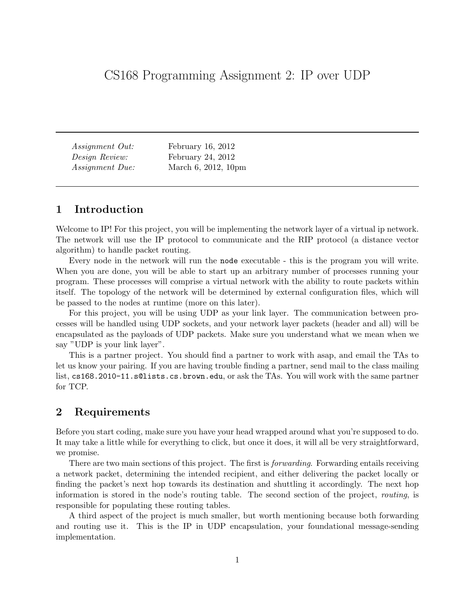Assignment Out: February 16, 2012 Design Review: February 24, 2012 Assignment Due: March 6, 2012, 10pm

# 1 Introduction

Welcome to IP! For this project, you will be implementing the network layer of a virtual ip network. The network will use the IP protocol to communicate and the RIP protocol (a distance vector algorithm) to handle packet routing.

Every node in the network will run the node executable - this is the program you will write. When you are done, you will be able to start up an arbitrary number of processes running your program. These processes will comprise a virtual network with the ability to route packets within itself. The topology of the network will be determined by external configuration files, which will be passed to the nodes at runtime (more on this later).

For this project, you will be using UDP as your link layer. The communication between processes will be handled using UDP sockets, and your network layer packets (header and all) will be encapsulated as the payloads of UDP packets. Make sure you understand what we mean when we say "UDP is your link layer".

This is a partner project. You should find a partner to work with asap, and email the TAs to let us know your pairing. If you are having trouble finding a partner, send mail to the class mailing list, cs168.2010-11.s@lists.cs.brown.edu, or ask the TAs. You will work with the same partner for TCP.

# 2 Requirements

Before you start coding, make sure you have your head wrapped around what you're supposed to do. It may take a little while for everything to click, but once it does, it will all be very straightforward, we promise.

There are two main sections of this project. The first is *forwarding*. Forwarding entails receiving a network packet, determining the intended recipient, and either delivering the packet locally or finding the packet's next hop towards its destination and shuttling it accordingly. The next hop information is stored in the node's routing table. The second section of the project, routing, is responsible for populating these routing tables.

A third aspect of the project is much smaller, but worth mentioning because both forwarding and routing use it. This is the IP in UDP encapsulation, your foundational message-sending implementation.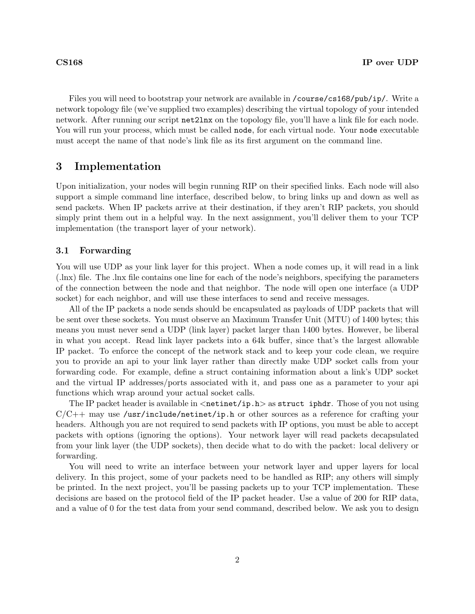Files you will need to bootstrap your network are available in /course/cs168/pub/ip/. Write a network topology file (we've supplied two examples) describing the virtual topology of your intended network. After running our script net2lnx on the topology file, you'll have a link file for each node. You will run your process, which must be called node, for each virtual node. Your node executable must accept the name of that node's link file as its first argument on the command line.

## 3 Implementation

Upon initialization, your nodes will begin running RIP on their specified links. Each node will also support a simple command line interface, described below, to bring links up and down as well as send packets. When IP packets arrive at their destination, if they aren't RIP packets, you should simply print them out in a helpful way. In the next assignment, you'll deliver them to your TCP implementation (the transport layer of your network).

### 3.1 Forwarding

You will use UDP as your link layer for this project. When a node comes up, it will read in a link (.lnx) file. The .lnx file contains one line for each of the node's neighbors, specifying the parameters of the connection between the node and that neighbor. The node will open one interface (a UDP socket) for each neighbor, and will use these interfaces to send and receive messages.

All of the IP packets a node sends should be encapsulated as payloads of UDP packets that will be sent over these sockets. You must observe an Maximum Transfer Unit (MTU) of 1400 bytes; this means you must never send a UDP (link layer) packet larger than 1400 bytes. However, be liberal in what you accept. Read link layer packets into a 64k buffer, since that's the largest allowable IP packet. To enforce the concept of the network stack and to keep your code clean, we require you to provide an api to your link layer rather than directly make UDP socket calls from your forwarding code. For example, define a struct containing information about a link's UDP socket and the virtual IP addresses/ports associated with it, and pass one as a parameter to your api functions which wrap around your actual socket calls.

The IP packet header is available in  $\langle$ netinet/ip.h $>$  as struct iphdr. Those of you not using  $C/C++$  may use /usr/include/netinet/ip.h or other sources as a reference for crafting your headers. Although you are not required to send packets with IP options, you must be able to accept packets with options (ignoring the options). Your network layer will read packets decapsulated from your link layer (the UDP sockets), then decide what to do with the packet: local delivery or forwarding.

You will need to write an interface between your network layer and upper layers for local delivery. In this project, some of your packets need to be handled as RIP; any others will simply be printed. In the next project, you'll be passing packets up to your TCP implementation. These decisions are based on the protocol field of the IP packet header. Use a value of 200 for RIP data, and a value of 0 for the test data from your send command, described below. We ask you to design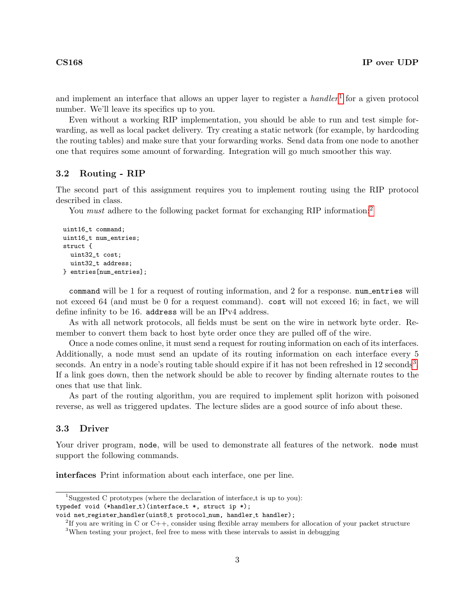and implement an interface that allows an upper layer to register a  $\textit{handler}^1$  $\textit{handler}^1$  for a given protocol number. We'll leave its specifics up to you.

Even without a working RIP implementation, you should be able to run and test simple forwarding, as well as local packet delivery. Try creating a static network (for example, by hardcoding the routing tables) and make sure that your forwarding works. Send data from one node to another one that requires some amount of forwarding. Integration will go much smoother this way.

### 3.2 Routing - RIP

The second part of this assignment requires you to implement routing using the RIP protocol described in class.

You *must* adhere to the following packet format for exchanging RIP information:<sup>[2](#page-2-1)</sup>

```
uint16_t command;
uint16_t num_entries;
struct {
  uint32_t cost;
 uint32_t address;
} entries[num_entries];
```
command will be 1 for a request of routing information, and 2 for a response. num entries will not exceed 64 (and must be 0 for a request command). cost will not exceed 16; in fact, we will define infinity to be 16. address will be an IPv4 address.

As with all network protocols, all fields must be sent on the wire in network byte order. Remember to convert them back to host byte order once they are pulled off of the wire.

Once a node comes online, it must send a request for routing information on each of its interfaces. Additionally, a node must send an update of its routing information on each interface every 5 seconds. An entry in a node's routing table should expire if it has not been refreshed in  $12$  seconds<sup>[3](#page-2-2)</sup>. If a link goes down, then the network should be able to recover by finding alternate routes to the ones that use that link.

As part of the routing algorithm, you are required to implement split horizon with poisoned reverse, as well as triggered updates. The lecture slides are a good source of info about these.

### 3.3 Driver

Your driver program, node, will be used to demonstrate all features of the network. node must support the following commands.

interfaces Print information about each interface, one per line.

<span id="page-2-0"></span><sup>&</sup>lt;sup>1</sup>Suggested C prototypes (where the declaration of interface  $\pm$  is up to you):

typedef void (\*handler\_t)(interface\_t \*, struct ip \*);

void net register handler(uint8\_t protocol\_num, handler\_t handler);

<span id="page-2-1"></span><sup>&</sup>lt;sup>2</sup>If you are writing in C or C++, consider using flexible array members for allocation of your packet structure

<span id="page-2-2"></span><sup>&</sup>lt;sup>3</sup>When testing your project, feel free to mess with these intervals to assist in debugging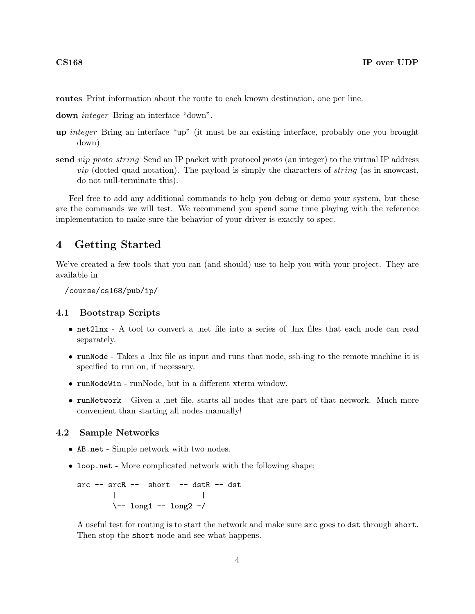routes Print information about the route to each known destination, one per line.

down integer Bring an interface "down".

- up integer Bring an interface "up" (it must be an existing interface, probably one you brought down)
- send vip proto string Send an IP packet with protocol proto (an integer) to the virtual IP address  $vip$  (dotted quad notation). The payload is simply the characters of *string* (as in snowcast, do not null-terminate this).

Feel free to add any additional commands to help you debug or demo your system, but these are the commands we will test. We recommend you spend some time playing with the reference implementation to make sure the behavior of your driver is exactly to spec.

## 4 Getting Started

We've created a few tools that you can (and should) use to help you with your project. They are available in

/course/cs168/pub/ip/

### 4.1 Bootstrap Scripts

- net2lnx A tool to convert a .net file into a series of .lnx files that each node can read separately.
- runNode Takes a .lnx file as input and runs that node, ssh-ing to the remote machine it is specified to run on, if necessary.
- runNodeWin runNode, but in a different xterm window.
- runNetwork Given a .net file, starts all nodes that are part of that network. Much more convenient than starting all nodes manually!

## 4.2 Sample Networks

- AB.net Simple network with two nodes.
- loop.net More complicated network with the following shape:

```
src -- srcR -- short -- dstR -- dst
      | |
      \-- long1 -- long2 -/
```
A useful test for routing is to start the network and make sure src goes to dst through short. Then stop the short node and see what happens.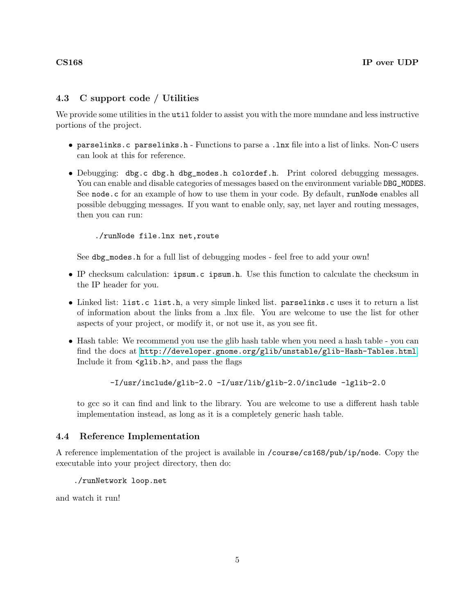## 4.3 C support code / Utilities

We provide some utilities in the util folder to assist you with the more mundane and less instructive portions of the project.

- parselinks.c parselinks.h Functions to parse a .lnx file into a list of links. Non-C users can look at this for reference.
- Debugging: dbg.c dbg.h dbg\_modes.h colordef.h. Print colored debugging messages. You can enable and disable categories of messages based on the environment variable DBG\_MODES. See node.c for an example of how to use them in your code. By default, runNode enables all possible debugging messages. If you want to enable only, say, net layer and routing messages, then you can run:

./runNode file.lnx net,route

See dbg\_modes.h for a full list of debugging modes - feel free to add your own!

- IP checksum calculation: ipsum.c ipsum.h. Use this function to calculate the checksum in the IP header for you.
- Linked list: list.c list.h, a very simple linked list. parselinks.c uses it to return a list of information about the links from a .lnx file. You are welcome to use the list for other aspects of your project, or modify it, or not use it, as you see fit.
- Hash table: We recommend you use the glib hash table when you need a hash table you can find the docs at <http://developer.gnome.org/glib/unstable/glib-Hash-Tables.html>. Include it from <glib.h>, and pass the flags

-I/usr/include/glib-2.0 -I/usr/lib/glib-2.0/include -lglib-2.0

to gcc so it can find and link to the library. You are welcome to use a different hash table implementation instead, as long as it is a completely generic hash table.

## 4.4 Reference Implementation

A reference implementation of the project is available in /course/cs168/pub/ip/node. Copy the executable into your project directory, then do:

./runNetwork loop.net

and watch it run!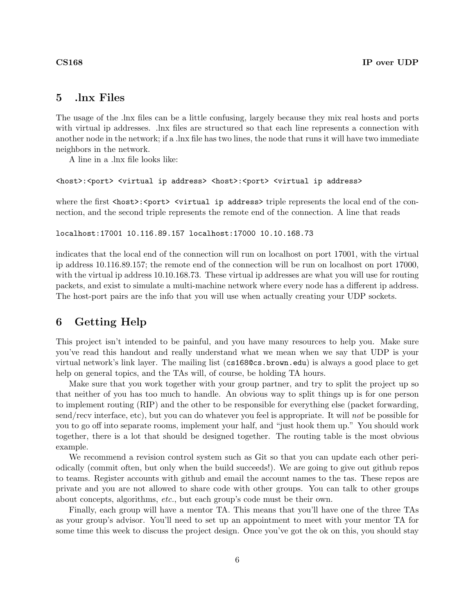# 5 .lnx Files

The usage of the .lnx files can be a little confusing, largely because they mix real hosts and ports with virtual ip addresses. .lnx files are structured so that each line represents a connection with another node in the network; if a .lnx file has two lines, the node that runs it will have two immediate neighbors in the network.

A line in a .lnx file looks like:

```
<host>:<port> <virtual ip address> <host>:<port> <virtual ip address>
```
where the first  $\langle \text{host}\rangle$ :  $\langle \text{port}\rangle$   $\langle \text{virtual ip address}\rangle$  triple represents the local end of the connection, and the second triple represents the remote end of the connection. A line that reads

### localhost:17001 10.116.89.157 localhost:17000 10.10.168.73

indicates that the local end of the connection will run on localhost on port 17001, with the virtual ip address 10.116.89.157; the remote end of the connection will be run on localhost on port 17000, with the virtual ip address 10.10.168.73. These virtual ip addresses are what you will use for routing packets, and exist to simulate a multi-machine network where every node has a different ip address. The host-port pairs are the info that you will use when actually creating your UDP sockets.

## 6 Getting Help

This project isn't intended to be painful, and you have many resources to help you. Make sure you've read this handout and really understand what we mean when we say that UDP is your virtual network's link layer. The mailing list (cs168@cs.brown.edu) is always a good place to get help on general topics, and the TAs will, of course, be holding TA hours.

Make sure that you work together with your group partner, and try to split the project up so that neither of you has too much to handle. An obvious way to split things up is for one person to implement routing (RIP) and the other to be responsible for everything else (packet forwarding, send/recv interface, etc), but you can do whatever you feel is appropriate. It will not be possible for you to go off into separate rooms, implement your half, and "just hook them up." You should work together, there is a lot that should be designed together. The routing table is the most obvious example.

We recommend a revision control system such as Git so that you can update each other periodically (commit often, but only when the build succeeds!). We are going to give out github repos to teams. Register accounts with github and email the account names to the tas. These repos are private and you are not allowed to share code with other groups. You can talk to other groups about concepts, algorithms, etc., but each group's code must be their own.

Finally, each group will have a mentor TA. This means that you'll have one of the three TAs as your group's advisor. You'll need to set up an appointment to meet with your mentor TA for some time this week to discuss the project design. Once you've got the ok on this, you should stay